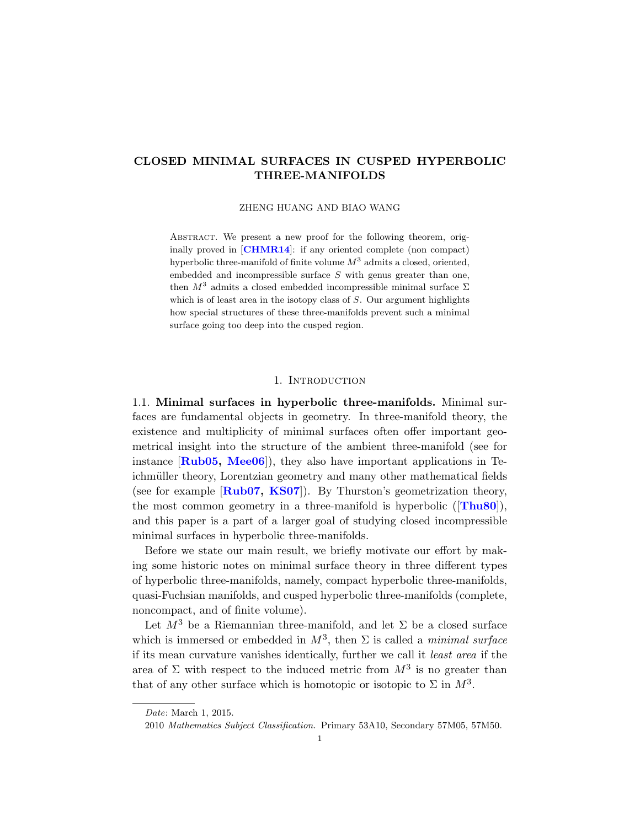# CLOSED MINIMAL SURFACES IN CUSPED HYPERBOLIC THREE-MANIFOLDS

ZHENG HUANG AND BIAO WANG

ABSTRACT. We present a new proof for the following theorem, originally proved in [[CHMR14](#page-18-0)]: if any oriented complete (non compact) hyperbolic three-manifold of finite volume  $M^3$  admits a closed, oriented, embedded and incompressible surface  $S$  with genus greater than one, then  $M^3$  admits a closed embedded incompressible minimal surface  $\Sigma$ which is of least area in the isotopy class of  $S$ . Our argument highlights how special structures of these three-manifolds prevent such a minimal surface going too deep into the cusped region.

## 1. INTRODUCTION

1.1. Minimal surfaces in hyperbolic three-manifolds. Minimal surfaces are fundamental objects in geometry. In three-manifold theory, the existence and multiplicity of minimal surfaces often offer important geometrical insight into the structure of the ambient three-manifold (see for instance  $\left[\text{Rub05}, \text{Mee06}\right]$  $\left[\text{Rub05}, \text{Mee06}\right]$  $\left[\text{Rub05}, \text{Mee06}\right]$ , they also have important applications in Teichmüller theory, Lorentzian geometry and many other mathematical fields (see for example  $\text{Rub07, KSO7}$  $\text{Rub07, KSO7}$  $\text{Rub07, KSO7}$ ). By Thurston's geometrization theory, the most common geometry in a three-manifold is hyperbolic  $(Thu80)$  $(Thu80)$  $(Thu80)$ , and this paper is a part of a larger goal of studying closed incompressible minimal surfaces in hyperbolic three-manifolds.

Before we state our main result, we briefly motivate our effort by making some historic notes on minimal surface theory in three different types of hyperbolic three-manifolds, namely, compact hyperbolic three-manifolds, quasi-Fuchsian manifolds, and cusped hyperbolic three-manifolds (complete, noncompact, and of finite volume).

Let  $M^3$  be a Riemannian three-manifold, and let  $\Sigma$  be a closed surface which is immersed or embedded in  $M^3$ , then  $\Sigma$  is called a *minimal surface* if its mean curvature vanishes identically, further we call it least area if the area of  $\Sigma$  with respect to the induced metric from  $M^3$  is no greater than that of any other surface which is homotopic or isotopic to  $\Sigma$  in  $M^3$ .

Date: March 1, 2015.

<sup>2010</sup> Mathematics Subject Classification. Primary 53A10, Secondary 57M05, 57M50.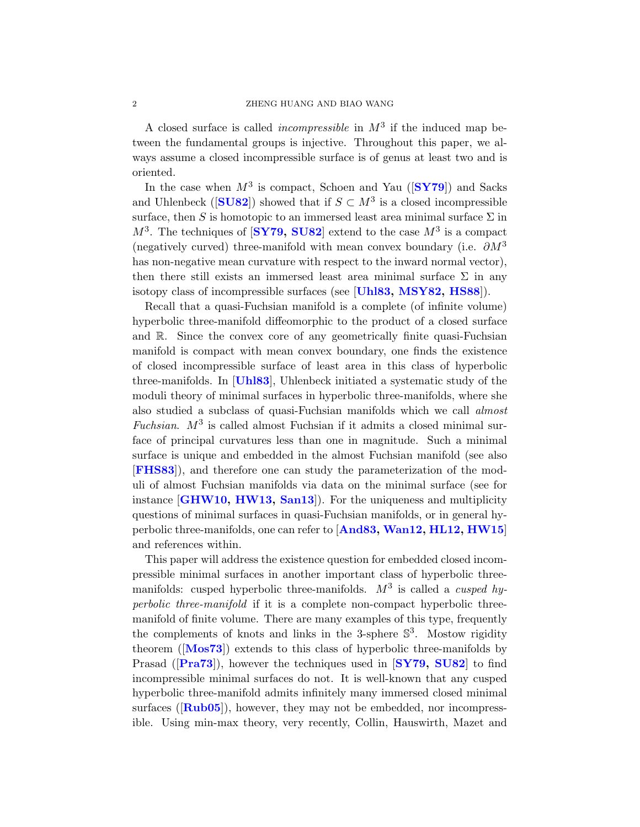A closed surface is called *incompressible* in  $M^3$  if the induced map between the fundamental groups is injective. Throughout this paper, we always assume a closed incompressible surface is of genus at least two and is oriented.

In the case when  $M^3$  is compact, Schoen and Yau ( $\text{SYY3}$ ) and Sacks and Uhlenbeck ( $[\textbf{SUS2}]$ ) showed that if  $S \subset M^3$  is a closed incompressible surface, then S is homotopic to an immersed least area minimal surface  $\Sigma$  in  $M^3$ . The techniques of  $\left[\mathbf{SY79}, \mathbf{SUS2}\right]$  extend to the case  $M^3$  is a compact (negatively curved) three-manifold with mean convex boundary (i.e.  $\partial M^3$ has non-negative mean curvature with respect to the inward normal vector), then there still exists an immersed least area minimal surface  $\Sigma$  in any isotopy class of incompressible surfaces (see [[Uhl83,](#page-19-5) [MSY82,](#page-18-3) [HS88](#page-18-4)]).

Recall that a quasi-Fuchsian manifold is a complete (of infinite volume) hyperbolic three-manifold diffeomorphic to the product of a closed surface and R. Since the convex core of any geometrically finite quasi-Fuchsian manifold is compact with mean convex boundary, one finds the existence of closed incompressible surface of least area in this class of hyperbolic three-manifolds. In [[Uhl83](#page-19-5)], Uhlenbeck initiated a systematic study of the moduli theory of minimal surfaces in hyperbolic three-manifolds, where she also studied a subclass of quasi-Fuchsian manifolds which we call almost Fuchsian.  $M^3$  is called almost Fuchsian if it admits a closed minimal surface of principal curvatures less than one in magnitude. Such a minimal surface is unique and embedded in the almost Fuchsian manifold (see also [[FHS83](#page-18-5)]), and therefore one can study the parameterization of the moduli of almost Fuchsian manifolds via data on the minimal surface (see for instance [[GHW10,](#page-18-6) [HW13,](#page-18-7) [San13](#page-19-6)]). For the uniqueness and multiplicity questions of minimal surfaces in quasi-Fuchsian manifolds, or in general hyperbolic three-manifolds, one can refer to [[And83,](#page-17-0) [Wan12,](#page-19-7) [HL12,](#page-18-8) [HW15](#page-18-9)] and references within.

This paper will address the existence question for embedded closed incompressible minimal surfaces in another important class of hyperbolic threemanifolds: cusped hyperbolic three-manifolds.  $M^3$  is called a *cusped hy*perbolic three-manifold if it is a complete non-compact hyperbolic threemanifold of finite volume. There are many examples of this type, frequently the complements of knots and links in the 3-sphere  $\mathbb{S}^3$ . Mostow rigidity theorem ([[Mos73](#page-18-10)]) extends to this class of hyperbolic three-manifolds by Prasad ( $\text{[Pra73]}$  $\text{[Pra73]}$  $\text{[Pra73]}$ ), however the techniques used in  $\text{[SY79, SUS2]}$  $\text{[SY79, SUS2]}$  $\text{[SY79, SUS2]}$  to find incompressible minimal surfaces do not. It is well-known that any cusped hyperbolic three-manifold admits infinitely many immersed closed minimal surfaces  $([Rub05])$  $([Rub05])$  $([Rub05])$ , however, they may not be embedded, nor incompressible. Using min-max theory, very recently, Collin, Hauswirth, Mazet and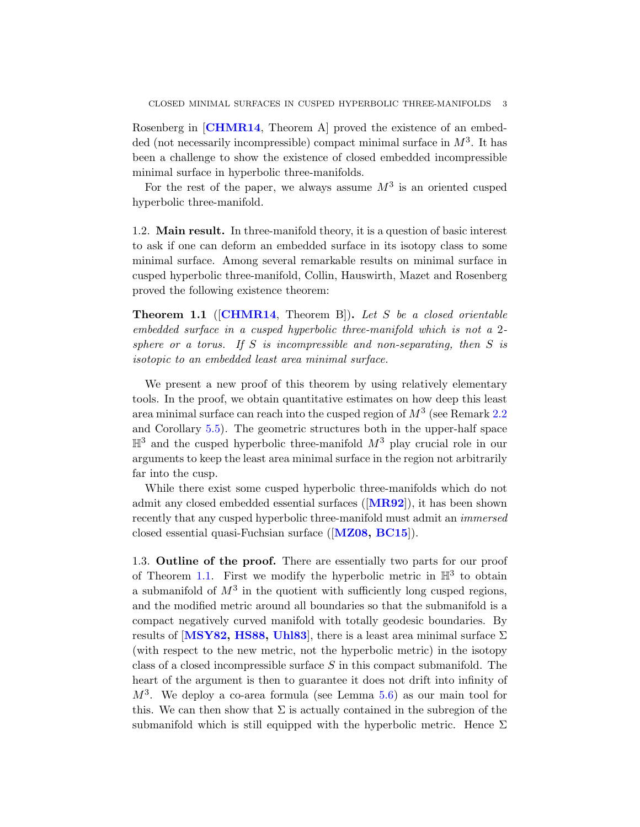Rosenberg in [[CHMR14](#page-18-0), Theorem A] proved the existence of an embedded (not necessarily incompressible) compact minimal surface in  $M^3$ . It has been a challenge to show the existence of closed embedded incompressible minimal surface in hyperbolic three-manifolds.

For the rest of the paper, we always assume  $M^3$  is an oriented cusped hyperbolic three-manifold.

1.2. Main result. In three-manifold theory, it is a question of basic interest to ask if one can deform an embedded surface in its isotopy class to some minimal surface. Among several remarkable results on minimal surface in cusped hyperbolic three-manifold, Collin, Hauswirth, Mazet and Rosenberg proved the following existence theorem:

<span id="page-2-0"></span>**Theorem 1.1** ( $[CHMR14, Theorem B]$  $[CHMR14, Theorem B]$  $[CHMR14, Theorem B]$ ). Let S be a closed orientable embedded surface in a cusped hyperbolic three-manifold which is not a 2 sphere or a torus. If S is incompressible and non-separating, then S is isotopic to an embedded least area minimal surface.

We present a new proof of this theorem by using relatively elementary tools. In the proof, we obtain quantitative estimates on how deep this least area minimal surface can reach into the cusped region of  $M^3$  (see Remark [2.2](#page-5-0)) and Corollary [5.5\)](#page-15-0). The geometric structures both in the upper-half space  $\mathbb{H}^3$  and the cusped hyperbolic three-manifold  $M^3$  play crucial role in our arguments to keep the least area minimal surface in the region not arbitrarily far into the cusp.

While there exist some cusped hyperbolic three-manifolds which do not admit any closed embedded essential surfaces  $(\mathbf{MR92})$  $(\mathbf{MR92})$  $(\mathbf{MR92})$ , it has been shown recently that any cusped hyperbolic three-manifold must admit an immersed closed essential quasi-Fuchsian surface ([[MZ08,](#page-18-13) [BC15](#page-18-14)]).

1.3. Outline of the proof. There are essentially two parts for our proof of Theorem [1.1.](#page-2-0) First we modify the hyperbolic metric in  $\mathbb{H}^3$  to obtain a submanifold of  $M^3$  in the quotient with sufficiently long cusped regions, and the modified metric around all boundaries so that the submanifold is a compact negatively curved manifold with totally geodesic boundaries. By results of [[MSY82,](#page-18-3) [HS88,](#page-18-4) [Uhl83](#page-19-5)], there is a least area minimal surface  $\Sigma$ (with respect to the new metric, not the hyperbolic metric) in the isotopy class of a closed incompressible surface  $S$  in this compact submanifold. The heart of the argument is then to guarantee it does not drift into infinity of  $M^3$ . We deploy a co-area formula (see Lemma [5.6\)](#page-16-0) as our main tool for this. We can then show that  $\Sigma$  is actually contained in the subregion of the submanifold which is still equipped with the hyperbolic metric. Hence  $\Sigma$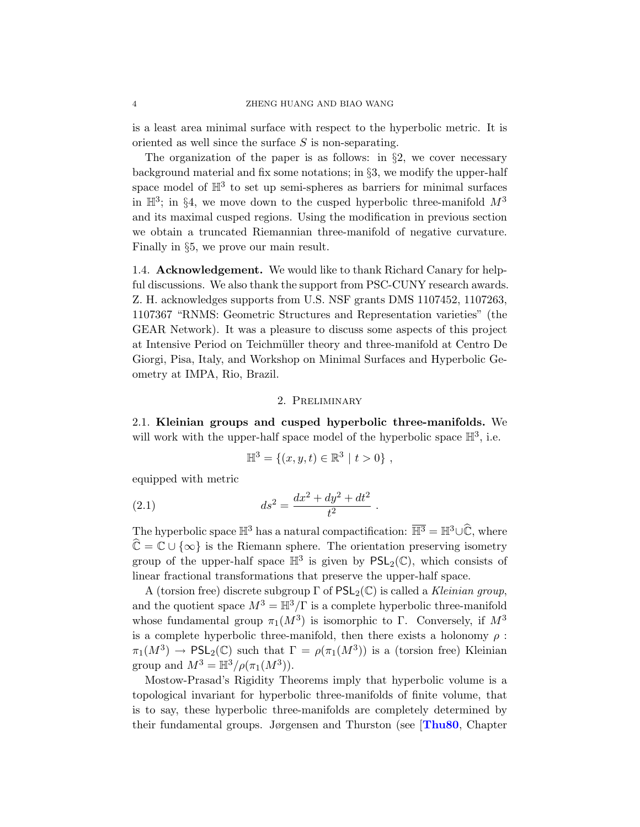is a least area minimal surface with respect to the hyperbolic metric. It is oriented as well since the surface S is non-separating.

The organization of the paper is as follows: in  $\S2$ , we cover necessary background material and fix some notations; in §3, we modify the upper-half space model of  $\mathbb{H}^3$  to set up semi-spheres as barriers for minimal surfaces in  $\mathbb{H}^3$ ; in §4, we move down to the cusped hyperbolic three-manifold  $M^3$ and its maximal cusped regions. Using the modification in previous section we obtain a truncated Riemannian three-manifold of negative curvature. Finally in §5, we prove our main result.

1.4. Acknowledgement. We would like to thank Richard Canary for helpful discussions. We also thank the support from PSC-CUNY research awards. Z. H. acknowledges supports from U.S. NSF grants DMS 1107452, 1107263, 1107367 "RNMS: Geometric Structures and Representation varieties" (the GEAR Network). It was a pleasure to discuss some aspects of this project at Intensive Period on Teichm¨uller theory and three-manifold at Centro De Giorgi, Pisa, Italy, and Workshop on Minimal Surfaces and Hyperbolic Geometry at IMPA, Rio, Brazil.

## 2. Preliminary

2.1. Kleinian groups and cusped hyperbolic three-manifolds. We will work with the upper-half space model of the hyperbolic space  $\mathbb{H}^3$ , i.e.

<span id="page-3-0"></span>
$$
\mathbb{H}^3 = \{(x, y, t) \in \mathbb{R}^3 \mid t > 0\},\,
$$

equipped with metric

(2.1) 
$$
ds^2 = \frac{dx^2 + dy^2 + dt^2}{t^2}.
$$

The hyperbolic space  $\mathbb{H}^3$  has a natural compactification:  $\overline{\mathbb{H}^3} = \mathbb{H}^3 \cup \mathbb{C}$ , where  $\hat{\mathbb{C}} = \mathbb{C} \cup \{\infty\}$  is the Riemann sphere. The orientation preserving isometry group of the upper-half space  $\mathbb{H}^3$  is given by  $PSL_2(\mathbb{C})$ , which consists of linear fractional transformations that preserve the upper-half space.

A (torsion free) discrete subgroup  $\Gamma$  of  $PSL_2(\mathbb{C})$  is called a *Kleinian group*, and the quotient space  $M^3 = \mathbb{H}^3/\Gamma$  is a complete hyperbolic three-manifold whose fundamental group  $\pi_1(M^3)$  is isomorphic to Γ. Conversely, if  $M^3$ is a complete hyperbolic three-manifold, then there exists a holonomy  $\rho$ :  $\pi_1(M^3) \to \text{PSL}_2(\mathbb{C})$  such that  $\Gamma = \rho(\pi_1(M^3))$  is a (torsion free) Kleinian group and  $M^3 = \mathbb{H}^3/\rho(\pi_1(M^3)).$ 

Mostow-Prasad's Rigidity Theorems imply that hyperbolic volume is a topological invariant for hyperbolic three-manifolds of finite volume, that is to say, these hyperbolic three-manifolds are completely determined by their fundamental groups. Jørgensen and Thurston (see [[Thu80](#page-19-2), Chapter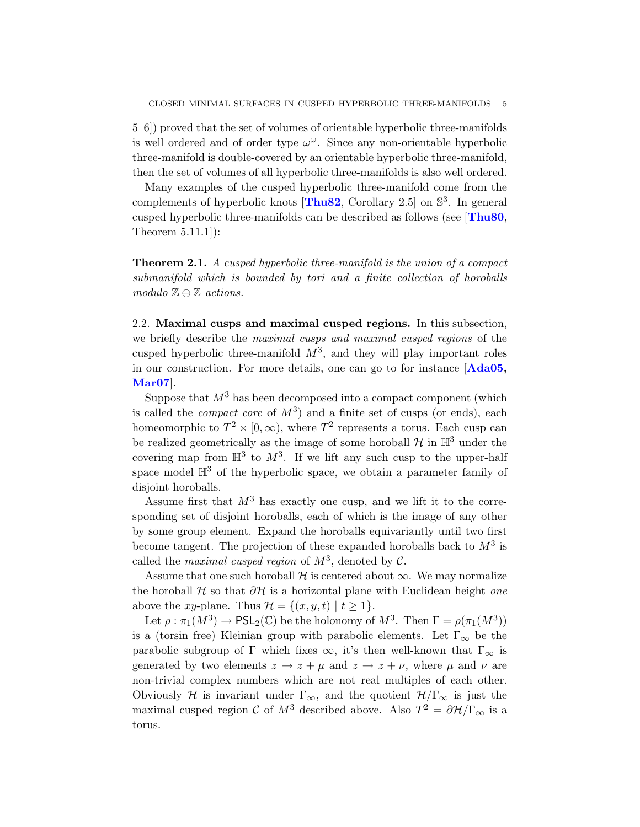5–6]) proved that the set of volumes of orientable hyperbolic three-manifolds is well ordered and of order type  $\omega^{\omega}$ . Since any non-orientable hyperbolic three-manifold is double-covered by an orientable hyperbolic three-manifold, then the set of volumes of all hyperbolic three-manifolds is also well ordered.

Many examples of the cusped hyperbolic three-manifold come from the complements of hyperbolic knots  $[\text{Thus2}, \text{Corollary } 2.5]$  on  $\mathbb{S}^3$ . In general cusped hyperbolic three-manifolds can be described as follows (see [[Thu80](#page-19-2), Theorem 5.11.1]):

Theorem 2.1. A cusped hyperbolic three-manifold is the union of a compact submanifold which is bounded by tori and a finite collection of horoballs modulo  $\mathbb{Z} \oplus \mathbb{Z}$  actions.

2.2. Maximal cusps and maximal cusped regions. In this subsection, we briefly describe the maximal cusps and maximal cusped regions of the cusped hyperbolic three-manifold  $M^3$ , and they will play important roles in our construction. For more details, one can go to for instance [[Ada05,](#page-17-1) [Mar07](#page-18-15)].

Suppose that  $M^3$  has been decomposed into a compact component (which is called the *compact core* of  $M^3$ ) and a finite set of cusps (or ends), each homeomorphic to  $T^2 \times [0, \infty)$ , where  $T^2$  represents a torus. Each cusp can be realized geometrically as the image of some horoball  $H$  in  $\mathbb{H}^3$  under the covering map from  $\mathbb{H}^3$  to  $M^3$ . If we lift any such cusp to the upper-half space model  $\mathbb{H}^3$  of the hyperbolic space, we obtain a parameter family of disjoint horoballs.

Assume first that  $M^3$  has exactly one cusp, and we lift it to the corresponding set of disjoint horoballs, each of which is the image of any other by some group element. Expand the horoballs equivariantly until two first become tangent. The projection of these expanded horoballs back to  $M^3$  is called the *maximal cusped region* of  $M^3$ , denoted by  $\mathcal{C}$ .

Assume that one such horoball  $H$  is centered about  $\infty$ . We may normalize the horoball  $H$  so that  $\partial H$  is a horizontal plane with Euclidean height one above the xy-plane. Thus  $\mathcal{H} = \{(x, y, t) \mid t \geq 1\}.$ 

Let  $\rho : \pi_1(M^3) \to \text{PSL}_2(\mathbb{C})$  be the holonomy of  $M^3$ . Then  $\Gamma = \rho(\pi_1(M^3))$ is a (torsin free) Kleinian group with parabolic elements. Let  $\Gamma_{\infty}$  be the parabolic subgroup of Γ which fixes  $\infty$ , it's then well-known that  $\Gamma_{\infty}$  is generated by two elements  $z \to z + \mu$  and  $z \to z + \nu$ , where  $\mu$  and  $\nu$  are non-trivial complex numbers which are not real multiples of each other. Obviously H is invariant under  $\Gamma_{\infty}$ , and the quotient  $\mathcal{H}/\Gamma_{\infty}$  is just the maximal cusped region  $\mathcal C$  of  $M^3$  described above. Also  $T^2 = \partial \mathcal H / \Gamma_{\infty}$  is a torus.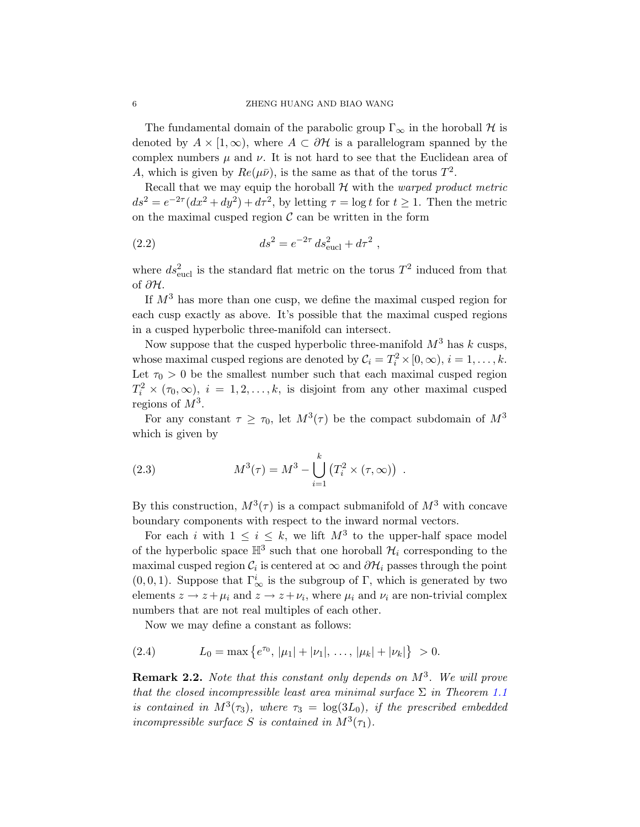The fundamental domain of the parabolic group  $\Gamma_{\infty}$  in the horoball H is denoted by  $A \times [1,\infty)$ , where  $A \subset \partial \mathcal{H}$  is a parallelogram spanned by the complex numbers  $\mu$  and  $\nu$ . It is not hard to see that the Euclidean area of A, which is given by  $Re(\mu \bar{\nu})$ , is the same as that of the torus  $T^2$ .

Recall that we may equip the horoball  $H$  with the *warped product metric*  $ds^2 = e^{-2\tau}(dx^2 + dy^2) + d\tau^2$ , by letting  $\tau = \log t$  for  $t \ge 1$ . Then the metric on the maximal cusped region  $\mathcal C$  can be written in the form

(2.2) 
$$
ds^2 = e^{-2\tau} ds_{\text{eucl}}^2 + d\tau^2 ,
$$

where  $ds^2_{\text{eucl}}$  is the standard flat metric on the torus  $T^2$  induced from that of ∂H.

If  $M<sup>3</sup>$  has more than one cusp, we define the maximal cusped region for each cusp exactly as above. It's possible that the maximal cusped regions in a cusped hyperbolic three-manifold can intersect.

Now suppose that the cusped hyperbolic three-manifold  $M^3$  has k cusps, whose maximal cusped regions are denoted by  $C_i = T_i^2 \times [0, \infty), i = 1, ..., k$ . Let  $\tau_0 > 0$  be the smallest number such that each maximal cusped region  $T_i^2 \times (\tau_0, \infty)$ ,  $i = 1, 2, \ldots, k$ , is disjoint from any other maximal cusped regions of  $M^3$ .

For any constant  $\tau \geq \tau_0$ , let  $M^3(\tau)$  be the compact subdomain of  $M^3$ which is given by

(2.3) 
$$
M^{3}(\tau) = M^{3} - \bigcup_{i=1}^{k} (T_{i}^{2} \times (\tau, \infty)) .
$$

By this construction,  $M^3(\tau)$  is a compact submanifold of  $M^3$  with concave boundary components with respect to the inward normal vectors.

For each i with  $1 \leq i \leq k$ , we lift  $M^3$  to the upper-half space model of the hyperbolic space  $\mathbb{H}^3$  such that one horoball  $\mathcal{H}_i$  corresponding to the maximal cusped region  $\mathcal{C}_i$  is centered at  $\infty$  and  $\partial \mathcal{H}_i$  passes through the point  $(0, 0, 1)$ . Suppose that  $\Gamma^i_{\infty}$  is the subgroup of  $\Gamma$ , which is generated by two elements  $z \to z + \mu_i$  and  $z \to z + \nu_i$ , where  $\mu_i$  and  $\nu_i$  are non-trivial complex numbers that are not real multiples of each other.

<span id="page-5-1"></span>Now we may define a constant as follows:

(2.4) 
$$
L_0 = \max \{ e^{\tau_0}, |\mu_1| + |\nu_1|, \dots, |\mu_k| + |\nu_k| \} > 0.
$$

<span id="page-5-0"></span>**Remark 2.2.** Note that this constant only depends on  $M^3$ . We will prove that the closed incompressible least area minimal surface  $\Sigma$  in Theorem [1.1](#page-2-0) is contained in  $M^3(\tau_3)$ , where  $\tau_3 = \log(3L_0)$ , if the prescribed embedded incompressible surface S is contained in  $M^3(\tau_1)$ .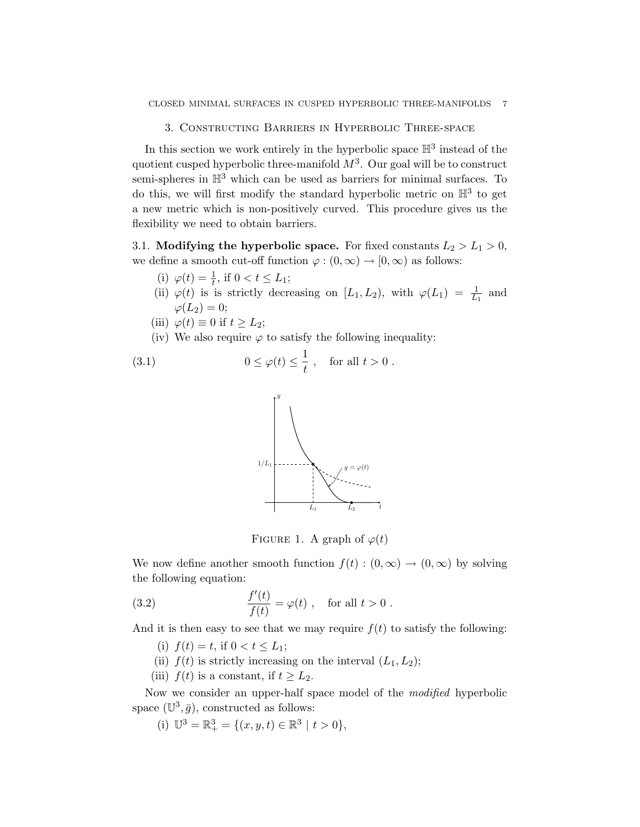3. Constructing Barriers in Hyperbolic Three-space

In this section we work entirely in the hyperbolic space  $\mathbb{H}^3$  instead of the quotient cusped hyperbolic three-manifold  $M^3$ . Our goal will be to construct semi-spheres in  $\mathbb{H}^3$  which can be used as barriers for minimal surfaces. To do this, we will first modify the standard hyperbolic metric on  $\mathbb{H}^3$  to get a new metric which is non-positively curved. This procedure gives us the flexibility we need to obtain barriers.

3.1. Modifying the hyperbolic space. For fixed constants  $L_2 > L_1 > 0$ , we define a smooth cut-off function  $\varphi : (0, \infty) \to [0, \infty)$  as follows:

- (i)  $\varphi(t) = \frac{1}{t}$ , if  $0 < t \le L_1$ ;
- (ii)  $\varphi(t)$  is is strictly decreasing on  $[L_1, L_2)$ , with  $\varphi(L_1) = \frac{1}{L_1}$  and  $\varphi(L_2) = 0;$
- (iii)  $\varphi(t) \equiv 0$  if  $t \geq L_2$ ;
- (iv) We also require  $\varphi$  to satisfy the following inequality:

(3.1) 
$$
0 \le \varphi(t) \le \frac{1}{t}, \quad \text{for all } t > 0.
$$

<span id="page-6-1"></span>

<span id="page-6-0"></span>FIGURE 1. A graph of  $\varphi(t)$ 

We now define another smooth function  $f(t) : (0, \infty) \to (0, \infty)$  by solving the following equation:

(3.2) 
$$
\frac{f'(t)}{f(t)} = \varphi(t) , \text{ for all } t > 0.
$$

And it is then easy to see that we may require  $f(t)$  to satisfy the following:

- (i)  $f(t) = t$ , if  $0 < t \leq L_1$ ;
- (ii)  $f(t)$  is strictly increasing on the interval  $(L_1, L_2)$ ;
- (iii)  $f(t)$  is a constant, if  $t \geq L_2$ .

Now we consider an upper-half space model of the modified hyperbolic space  $(\mathbb{U}^3, \bar{g})$ , constructed as follows:

(i)  $\mathbb{U}^3 = \mathbb{R}^3_+ = \{(x, y, t) \in \mathbb{R}^3 \mid t > 0\},\$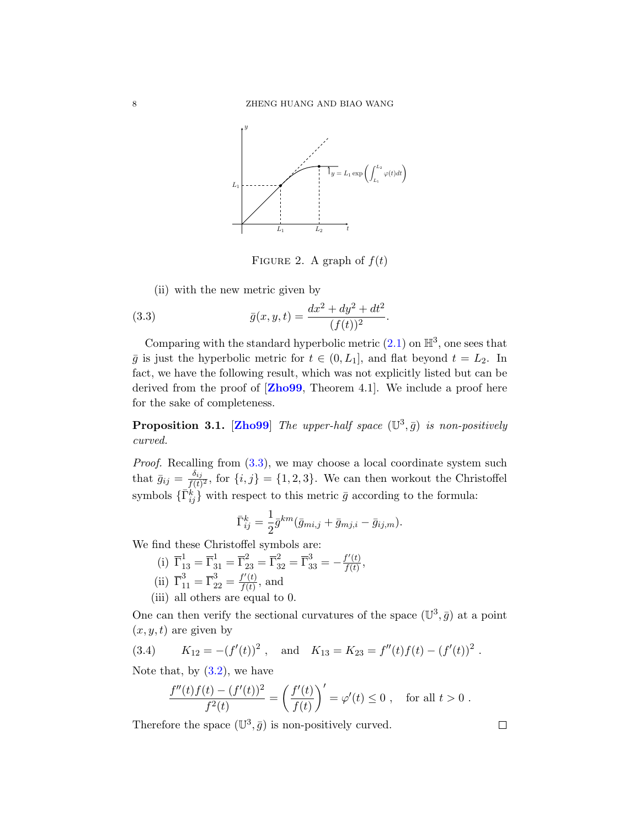

<span id="page-7-0"></span>FIGURE 2. A graph of  $f(t)$ 

(ii) with the new metric given by

(3.3) 
$$
\bar{g}(x, y, t) = \frac{dx^2 + dy^2 + dt^2}{(f(t))^2}.
$$

Comparing with the standard hyperbolic metric  $(2.1)$  on  $\mathbb{H}^3$ , one sees that  $\bar{g}$  is just the hyperbolic metric for  $t \in (0, L_1]$ , and flat beyond  $t = L_2$ . In fact, we have the following result, which was not explicitly listed but can be derived from the proof of  $\mathbf{Zh099}$ , Theorem 4.1.. We include a proof here for the sake of completeness.

<span id="page-7-1"></span>**Proposition 3.1.** [[Zho99](#page-19-9)] The upper-half space  $(\mathbb{U}^3, \bar{g})$  is non-positively curved.

*Proof.* Recalling from  $(3.3)$ , we may choose a local coordinate system such that  $\bar{g}_{ij} = \frac{\delta_{ij}}{f(t)}$  $\frac{\partial ij}{f(t)^2}$ , for  $\{i, j\} = \{1, 2, 3\}$ . We can then workout the Christoffel symbols  $\{\bar{\Gamma}_{ij}^k\}$  with respect to this metric  $\bar{g}$  according to the formula:

$$
\bar{\Gamma}_{ij}^k = \frac{1}{2}\bar{g}^{km}(\bar{g}_{mi,j} + \bar{g}_{mj,i} - \bar{g}_{ij,m}).
$$

We find these Christoffel symbols are:

- (i)  $\overline{\Gamma}_{13}^1 = \overline{\Gamma}_{31}^1 = \overline{\Gamma}_{23}^2 = \overline{\Gamma}_{32}^3 = \overline{\Gamma}_{33}^3 = -\frac{f'(t)}{f(t)}$  $\frac{f^{\prime}\left( t\right) }{f(t)},$ (ii)  $\overline{\Gamma}_{11}^3 = \overline{\Gamma}_{22}^3 = \frac{f'(t)}{f(t)}$  $\frac{f(t)}{f(t)}$ , and
- (iii) all others are equal to 0.

One can then verify the sectional curvatures of the space  $(\mathbb{U}^3, \bar{g})$  at a point  $(x, y, t)$  are given by

(3.4) 
$$
K_{12} = -(f'(t))^2
$$
, and  $K_{13} = K_{23} = f''(t)f(t) - (f'(t))^2$ .

Note that, by  $(3.2)$ , we have

$$
\frac{f''(t)f(t) - (f'(t))^2}{f^2(t)} = \left(\frac{f'(t)}{f(t)}\right)' = \varphi'(t) \le 0 \;, \quad \text{for all } t > 0 \;.
$$

Therefore the space  $(\mathbb{U}^3, \bar{g})$  is non-positively curved.

 $\Box$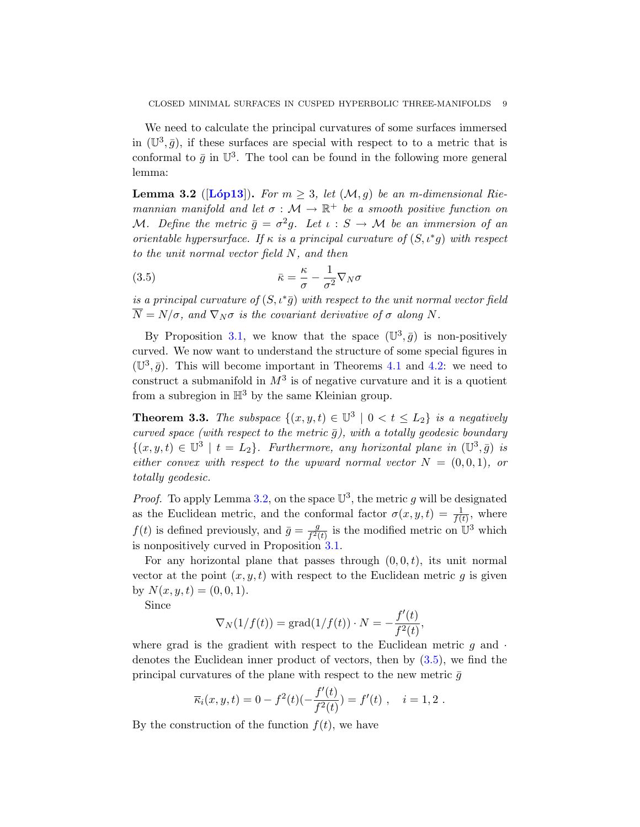We need to calculate the principal curvatures of some surfaces immersed in  $(\mathbb{U}^3, \bar{g})$ , if these surfaces are special with respect to to a metric that is conformal to  $\bar{g}$  in  $\mathbb{U}^3$ . The tool can be found in the following more general lemma:

<span id="page-8-0"></span>**Lemma 3.2** ([Lop13]). For  $m \geq 3$ , let  $(\mathcal{M}, g)$  be an m-dimensional Riemannian manifold and let  $\sigma : \mathcal{M} \to \mathbb{R}^+$  be a smooth positive function on M. Define the metric  $\bar{g} = \sigma^2 g$ . Let  $\iota : S \to M$  be an immersion of an orientable hypersurface. If  $\kappa$  is a principal curvature of  $(S, \iota^*g)$  with respect to the unit normal vector field N, and then

<span id="page-8-1"></span>(3.5) 
$$
\bar{\kappa} = \frac{\kappa}{\sigma} - \frac{1}{\sigma^2} \nabla_N \sigma
$$

is a principal curvature of  $(S, \iota^* \bar{g})$  with respect to the unit normal vector field  $\overline{N} = N/\sigma$ , and  $\nabla_N \sigma$  is the covariant derivative of  $\sigma$  along N.

By Proposition [3.1,](#page-7-1) we know that the space  $(\mathbb{U}^3, \bar{g})$  is non-positively curved. We now want to understand the structure of some special figures in  $(\mathbb{U}^3, \bar{g})$ . This will become important in Theorems [4.1](#page-11-0) and [4.2:](#page-11-1) we need to construct a submanifold in  $M^3$  is of negative curvature and it is a quotient from a subregion in  $\mathbb{H}^3$  by the same Kleinian group.

<span id="page-8-2"></span>**Theorem 3.3.** The subspace  $\{(x, y, t) \in \mathbb{U}^3 \mid 0 < t \leq L_2\}$  is a negatively curved space (with respect to the metric  $\bar{g}$ ), with a totally geodesic boundary  $\{(x, y, t) \in \mathbb{U}^3 \mid t = L_2\}$ . Furthermore, any horizontal plane in  $(\mathbb{U}^3, \bar{g})$  is either convex with respect to the upward normal vector  $N = (0, 0, 1)$ , or totally geodesic.

*Proof.* To apply Lemma [3.2,](#page-8-0) on the space  $\mathbb{U}^3$ , the metric g will be designated as the Euclidean metric, and the conformal factor  $\sigma(x, y, t) = \frac{1}{f(t)}$ , where  $f(t)$  is defined previously, and  $\bar{g} = \frac{g}{f_2}$  $\frac{g}{f^2(t)}$  is the modified metric on  $\mathbb{U}^3$  which is nonpositively curved in Proposition [3.1.](#page-7-1)

For any horizontal plane that passes through  $(0, 0, t)$ , its unit normal vector at the point  $(x, y, t)$  with respect to the Euclidean metric q is given by  $N(x, y, t) = (0, 0, 1).$ 

Since

$$
\nabla_N(1/f(t)) = \text{grad}(1/f(t)) \cdot N = -\frac{f'(t)}{f^2(t)},
$$

where grad is the gradient with respect to the Euclidean metric  $q$  and  $\cdot$ denotes the Euclidean inner product of vectors, then by  $(3.5)$ , we find the principal curvatures of the plane with respect to the new metric  $\bar{q}$ 

$$
\overline{\kappa}_i(x, y, t) = 0 - f^2(t) \left(-\frac{f'(t)}{f^2(t)}\right) = f'(t) , \quad i = 1, 2.
$$

By the construction of the function  $f(t)$ , we have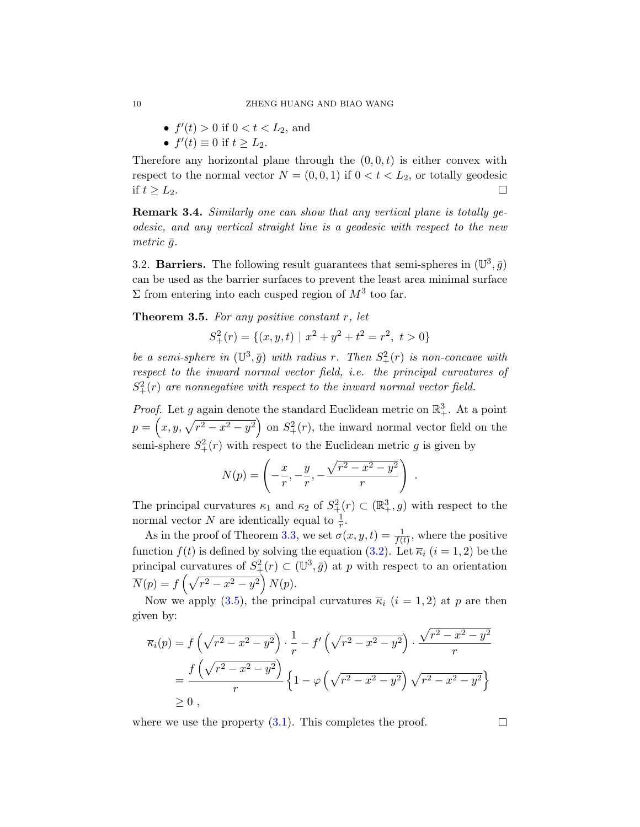- $f'(t) > 0$  if  $0 < t < L_2$ , and
- $f'(t) \equiv 0$  if  $t \geq L_2$ .

Therefore any horizontal plane through the  $(0, 0, t)$  is either convex with respect to the normal vector  $N = (0, 0, 1)$  if  $0 < t < L_2$ , or totally geodesic if  $t \geq L_2$ . П

<span id="page-9-0"></span>Remark 3.4. Similarly one can show that any vertical plane is totally geodesic, and any vertical straight line is a geodesic with respect to the new metric  $\bar{q}$ .

3.2. Barriers. The following result guarantees that semi-spheres in  $(\mathbb{U}^3, \bar{g})$ can be used as the barrier surfaces to prevent the least area minimal surface  $\Sigma$  from entering into each cusped region of  $M^3$  too far.

<span id="page-9-1"></span>**Theorem 3.5.** For any positive constant  $r$ , let

$$
S_{+}^{2}(r) = \{(x, y, t) \mid x^{2} + y^{2} + t^{2} = r^{2}, t > 0\}
$$

be a semi-sphere in  $(\mathbb{U}^3, \bar{g})$  with radius r. Then  $S^2_+(r)$  is non-concave with respect to the inward normal vector field, i.e. the principal curvatures of  $S_+^2(r)$  are nonnegative with respect to the inward normal vector field.

*Proof.* Let g again denote the standard Euclidean metric on  $\mathbb{R}^3_+$ . At a point  $p = (x, y, \sqrt{r^2 - x^2 - y^2})$  on  $S_+^2(r)$ , the inward normal vector field on the semi-sphere  $S^2_+(r)$  with respect to the Euclidean metric g is given by

$$
N(p) = \left(-\frac{x}{r}, -\frac{y}{r}, -\frac{\sqrt{r^2 - x^2 - y^2}}{r}\right)
$$

.

The principal curvatures  $\kappa_1$  and  $\kappa_2$  of  $S^2_+(r) \subset (\mathbb{R}^3_+, g)$  with respect to the normal vector N are identically equal to  $\frac{1}{r}$ .

As in the proof of Theorem [3.3,](#page-8-2) we set  $\sigma(x, y, t) = \frac{1}{f(t)}$ , where the positive function  $f(t)$  is defined by solving the equation [\(3.2\)](#page-6-0). Let  $\overline{\kappa}_i$  (i = 1, 2) be the principal curvatures of  $S^2_+(r) \subset (\mathbb{U}^3, \bar{g})$  at p with respect to an orientation  $\overline{N}(p) = f\left(\sqrt{r^2 - x^2 - y^2}\right) N(p).$ 

Now we apply [\(3.5\)](#page-8-1), the principal curvatures  $\overline{\kappa}_i$  (i = 1,2) at p are then given by:

$$
\overline{\kappa}_{i}(p) = f\left(\sqrt{r^{2} - x^{2} - y^{2}}\right) \cdot \frac{1}{r} - f'\left(\sqrt{r^{2} - x^{2} - y^{2}}\right) \cdot \frac{\sqrt{r^{2} - x^{2} - y^{2}}}{r}
$$
\n
$$
= \frac{f\left(\sqrt{r^{2} - x^{2} - y^{2}}\right)}{r} \left\{1 - \varphi\left(\sqrt{r^{2} - x^{2} - y^{2}}\right)\sqrt{r^{2} - x^{2} - y^{2}}\right\}
$$
\n
$$
\geq 0,
$$

where we use the property  $(3.1)$ . This completes the proof.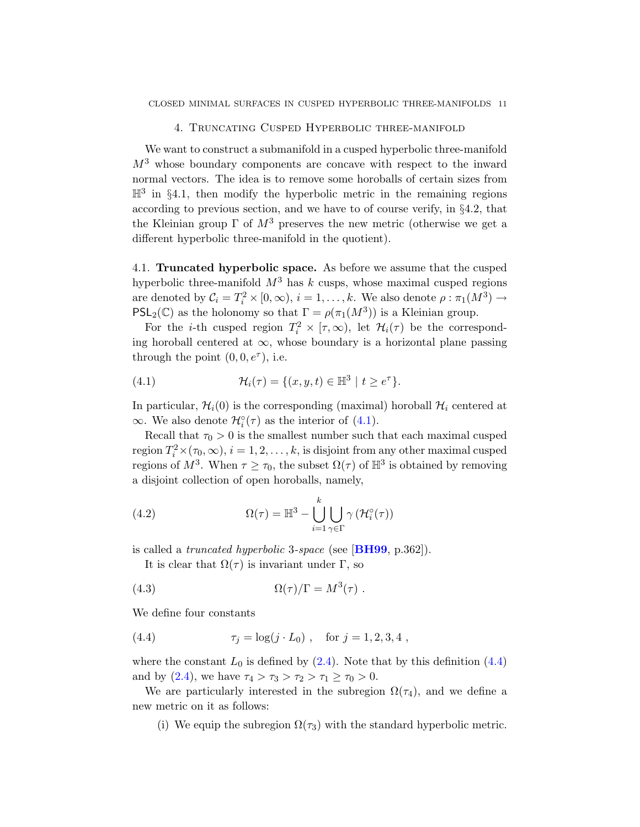4. Truncating Cusped Hyperbolic three-manifold

We want to construct a submanifold in a cusped hyperbolic three-manifold  $M<sup>3</sup>$  whose boundary components are concave with respect to the inward normal vectors. The idea is to remove some horoballs of certain sizes from  $\mathbb{H}^3$  in §4.1, then modify the hyperbolic metric in the remaining regions according to previous section, and we have to of course verify, in §4.2, that the Kleinian group  $\Gamma$  of  $M^3$  preserves the new metric (otherwise we get a different hyperbolic three-manifold in the quotient).

4.1. Truncated hyperbolic space. As before we assume that the cusped hyperbolic three-manifold  $M^3$  has k cusps, whose maximal cusped regions are denoted by  $C_i = T_i^2 \times [0, \infty)$ ,  $i = 1, ..., k$ . We also denote  $\rho : \pi_1(M^3) \to$ PSL<sub>2</sub>(C) as the holonomy so that  $\Gamma = \rho(\pi_1(M^3))$  is a Kleinian group.

For the *i*-th cusped region  $T_i^2 \times [\tau, \infty)$ , let  $\mathcal{H}_i(\tau)$  be the corresponding horoball centered at  $\infty$ , whose boundary is a horizontal plane passing through the point  $(0, 0, e^{\tau})$ , i.e.

<span id="page-10-0"></span>(4.1) 
$$
\mathcal{H}_i(\tau) = \{(x, y, t) \in \mathbb{H}^3 \mid t \ge e^{\tau}\}.
$$

In particular,  $\mathcal{H}_i(0)$  is the corresponding (maximal) horoball  $\mathcal{H}_i$  centered at  $\infty$ . We also denote  $\mathcal{H}^{\circ}_{i}(\tau)$  as the interior of [\(4.1\)](#page-10-0).

Recall that  $\tau_0 > 0$  is the smallest number such that each maximal cusped region  $T_i^2 \times (\tau_0, \infty), i = 1, 2, ..., k$ , is disjoint from any other maximal cusped regions of  $M^3$ . When  $\tau \geq \tau_0$ , the subset  $\Omega(\tau)$  of  $\mathbb{H}^3$  is obtained by removing a disjoint collection of open horoballs, namely,

(4.2) 
$$
\Omega(\tau) = \mathbb{H}^3 - \bigcup_{i=1}^k \bigcup_{\gamma \in \Gamma} \gamma \left( \mathcal{H}_i^{\circ}(\tau) \right)
$$

is called a *truncated hyperbolic* 3-space (see  $[\textbf{BH99}, p.362]$  $[\textbf{BH99}, p.362]$  $[\textbf{BH99}, p.362]$ ).

It is clear that  $\Omega(\tau)$  is invariant under Γ, so

(4.3) 
$$
\Omega(\tau)/\Gamma = M^3(\tau) .
$$

We define four constants

<span id="page-10-1"></span>(4.4) 
$$
\tau_j = \log(j \cdot L_0), \text{ for } j = 1, 2, 3, 4,
$$

where the constant  $L_0$  is defined by [\(2.4\)](#page-5-1). Note that by this definition [\(4.4\)](#page-10-1) and by [\(2.4\)](#page-5-1), we have  $\tau_4 > \tau_3 > \tau_2 > \tau_1 \geq \tau_0 > 0$ .

We are particularly interested in the subregion  $\Omega(\tau_4)$ , and we define a new metric on it as follows:

(i) We equip the subregion  $\Omega(\tau_3)$  with the standard hyperbolic metric.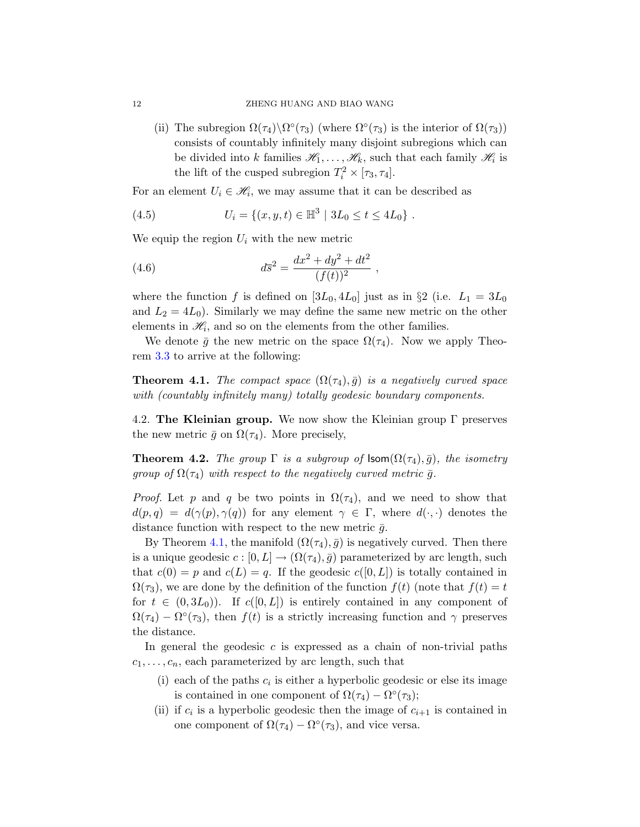(ii) The subregion  $\Omega(\tau_4)\backslash\Omega^{\circ}(\tau_3)$  (where  $\Omega^{\circ}(\tau_3)$  is the interior of  $\Omega(\tau_3)$ ) consists of countably infinitely many disjoint subregions which can be divided into k families  $\mathscr{H}_1, \ldots, \mathscr{H}_k$ , such that each family  $\mathscr{H}_i$  is the lift of the cusped subregion  $T_i^2 \times [\tau_3, \tau_4]$ .

For an element  $U_i \in \mathcal{H}_i$ , we may assume that it can be described as

<span id="page-11-2"></span>(4.5) 
$$
U_i = \{(x, y, t) \in \mathbb{H}^3 \mid 3L_0 \le t \le 4L_0\}.
$$

We equip the region  $U_i$  with the new metric

<span id="page-11-3"></span>(4.6) 
$$
d\overline{s}^2 = \frac{dx^2 + dy^2 + dt^2}{(f(t))^2} ,
$$

where the function f is defined on  $[3L_0, 4L_0]$  just as in §2 (i.e.  $L_1 = 3L_0$ and  $L_2 = 4L_0$ . Similarly we may define the same new metric on the other elements in  $\mathcal{H}_i$ , and so on the elements from the other families.

We denote  $\bar{g}$  the new metric on the space  $\Omega(\tau_4)$ . Now we apply Theorem [3.3](#page-8-2) to arrive at the following:

<span id="page-11-0"></span>**Theorem 4.1.** The compact space  $(\Omega(\tau_4), \bar{g})$  is a negatively curved space with (countably infinitely many) totally geodesic boundary components.

4.2. The Kleinian group. We now show the Kleinian group  $\Gamma$  preserves the new metric  $\bar{g}$  on  $\Omega(\tau_4)$ . More precisely,

<span id="page-11-1"></span>**Theorem 4.2.** The group  $\Gamma$  is a subgroup of  $\textsf{Isom}(\Omega(\tau_4), \bar{g})$ , the isometry group of  $\Omega(\tau_4)$  with respect to the negatively curved metric  $\bar{g}$ .

*Proof.* Let p and q be two points in  $\Omega(\tau_4)$ , and we need to show that  $d(p,q) = d(\gamma(p), \gamma(q))$  for any element  $\gamma \in \Gamma$ , where  $d(\cdot, \cdot)$  denotes the distance function with respect to the new metric  $\bar{g}$ .

By Theorem [4.1,](#page-11-0) the manifold  $(\Omega(\tau_4), \bar{g})$  is negatively curved. Then there is a unique geodesic  $c : [0, L] \to (\Omega(\tau_4), \bar{g})$  parameterized by arc length, such that  $c(0) = p$  and  $c(L) = q$ . If the geodesic  $c([0, L])$  is totally contained in  $\Omega(\tau_3)$ , we are done by the definition of the function  $f(t)$  (note that  $f(t) = t$ for  $t \in (0, 3L_0)$ . If  $c([0, L])$  is entirely contained in any component of  $\Omega(\tau_4) - \Omega^{\circ}(\tau_3)$ , then  $f(t)$  is a strictly increasing function and  $\gamma$  preserves the distance.

In general the geodesic  $c$  is expressed as a chain of non-trivial paths  $c_1, \ldots, c_n$ , each parameterized by arc length, such that

- (i) each of the paths  $c_i$  is either a hyperbolic geodesic or else its image is contained in one component of  $\Omega(\tau_4) - \Omega^{\circ}(\tau_3)$ ;
- (ii) if  $c_i$  is a hyperbolic geodesic then the image of  $c_{i+1}$  is contained in one component of  $\Omega(\tau_4) - \Omega^{\circ}(\tau_3)$ , and vice versa.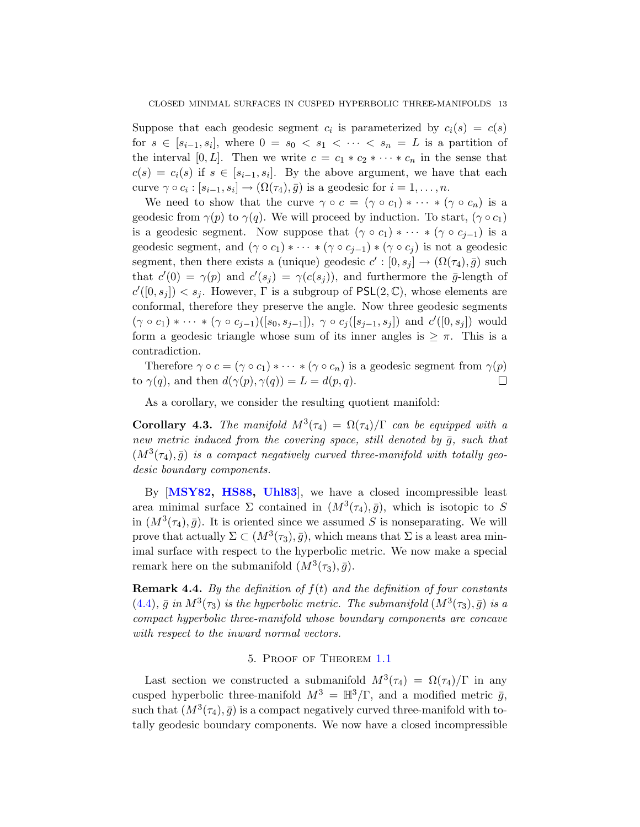Suppose that each geodesic segment  $c_i$  is parameterized by  $c_i(s) = c(s)$ for  $s \in [s_{i-1}, s_i]$ , where  $0 = s_0 < s_1 < \cdots < s_n = L$  is a partition of the interval [0, L]. Then we write  $c = c_1 * c_2 * \cdots * c_n$  in the sense that  $c(s) = c_i(s)$  if  $s \in [s_{i-1}, s_i]$ . By the above argument, we have that each curve  $\gamma \circ c_i : [s_{i-1}, s_i] \to (\Omega(\tau_4), \bar{g})$  is a geodesic for  $i = 1, \ldots, n$ .

We need to show that the curve  $\gamma \circ c = (\gamma \circ c_1) * \cdots * (\gamma \circ c_n)$  is a geodesic from  $\gamma(p)$  to  $\gamma(q)$ . We will proceed by induction. To start,  $(\gamma \circ c_1)$ is a geodesic segment. Now suppose that  $(\gamma \circ c_1) * \cdots * (\gamma \circ c_{j-1})$  is a geodesic segment, and  $(\gamma \circ c_1) * \cdots * (\gamma \circ c_{j-1}) * (\gamma \circ c_j)$  is not a geodesic segment, then there exists a (unique) geodesic  $c' : [0, s_j] \to (\Omega(\tau_4), \bar{g})$  such that  $c'(0) = \gamma(p)$  and  $c'(s_j) = \gamma(c(s_j))$ , and furthermore the  $\bar{g}$ -length of  $c'([0, s_j]) < s_j$ . However,  $\Gamma$  is a subgroup of  $PSL(2, \mathbb{C})$ , whose elements are conformal, therefore they preserve the angle. Now three geodesic segments  $(\gamma \circ c_1) * \cdots * (\gamma \circ c_{j-1})([s_0, s_{j-1}]), \ \gamma \circ c_j([s_{j-1}, s_j])$  and  $c'([0, s_j])$  would form a geodesic triangle whose sum of its inner angles is  $\geq \pi$ . This is a contradiction.

Therefore  $\gamma \circ c = (\gamma \circ c_1) * \cdots * (\gamma \circ c_n)$  is a geodesic segment from  $\gamma(p)$ to  $\gamma(q)$ , and then  $d(\gamma(p), \gamma(q)) = L = d(p, q)$ .  $\Box$ 

As a corollary, we consider the resulting quotient manifold:

<span id="page-12-0"></span>**Corollary 4.3.** The manifold  $M^3(\tau_4) = \Omega(\tau_4)/\Gamma$  can be equipped with a new metric induced from the covering space, still denoted by  $\bar{g}$ , such that  $(M^3(\tau_4), \bar{g})$  is a compact negatively curved three-manifold with totally geodesic boundary components.

By [[MSY82,](#page-18-3) [HS88,](#page-18-4) [Uhl83](#page-19-5)], we have a closed incompressible least area minimal surface  $\Sigma$  contained in  $(M^3(\tau_4), \bar{g})$ , which is isotopic to S in  $(M^3(\tau_4), \bar{g})$ . It is oriented since we assumed S is nonseparating. We will prove that actually  $\Sigma \subset (M^3(\tau_3), \bar{g})$ , which means that  $\Sigma$  is a least area minimal surface with respect to the hyperbolic metric. We now make a special remark here on the submanifold  $(M^3(\tau_3), \bar{g})$ .

**Remark 4.4.** By the definition of  $f(t)$  and the definition of four constants [\(4.4\)](#page-10-1),  $\bar{g}$  in  $M^3(\tau_3)$  is the hyperbolic metric. The submanifold  $(M^3(\tau_3), \bar{g})$  is a compact hyperbolic three-manifold whose boundary components are concave with respect to the inward normal vectors.

## 5. Proof of Theorem [1.1](#page-2-0)

Last section we constructed a submanifold  $M^3(\tau_4) = \Omega(\tau_4)/\Gamma$  in any cusped hyperbolic three-manifold  $M^3 = \mathbb{H}^3/\Gamma$ , and a modified metric  $\bar{g}$ , such that  $(M^3(\tau_4), \bar{g})$  is a compact negatively curved three-manifold with totally geodesic boundary components. We now have a closed incompressible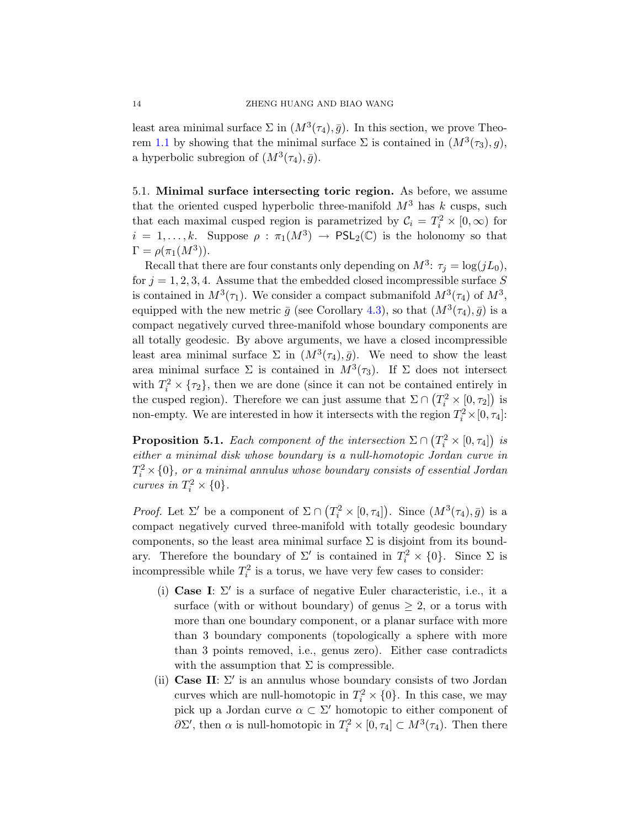least area minimal surface  $\Sigma$  in  $(M^3(\tau_4), \bar{g})$ . In this section, we prove Theo-rem [1.1](#page-2-0) by showing that the minimal surface  $\Sigma$  is contained in  $(M^3(\tau_3), g)$ , a hyperbolic subregion of  $(M^3(\tau_4), \bar{g})$ .

5.1. Minimal surface intersecting toric region. As before, we assume that the oriented cusped hyperbolic three-manifold  $M^3$  has k cusps, such that each maximal cusped region is parametrized by  $C_i = T_i^2 \times [0, \infty)$  for  $i = 1, \ldots, k$ . Suppose  $\rho : \pi_1(M^3) \to \text{PSL}_2(\mathbb{C})$  is the holonomy so that  $\Gamma = \rho(\pi_1(M^3)).$ 

Recall that there are four constants only depending on  $M^3$ :  $\tau_j = \log(jL_0)$ , for  $j = 1, 2, 3, 4$ . Assume that the embedded closed incompressible surface S is contained in  $M^3(\tau_1)$ . We consider a compact submanifold  $M^3(\tau_4)$  of  $M^3$ , equipped with the new metric  $\bar{g}$  (see Corollary [4.3\)](#page-12-0), so that  $(M^3(\tau_4), \bar{g})$  is a compact negatively curved three-manifold whose boundary components are all totally geodesic. By above arguments, we have a closed incompressible least area minimal surface  $\Sigma$  in  $(M^3(\tau_4), \bar{g})$ . We need to show the least area minimal surface  $\Sigma$  is contained in  $M^3(\tau_3)$ . If  $\Sigma$  does not intersect with  $T_i^2 \times {\tau_2}$ , then we are done (since it can not be contained entirely in the cusped region). Therefore we can just assume that  $\Sigma \cap (T_i^2 \times [0, \tau_2])$  is non-empty. We are interested in how it intersects with the region  $T_i^2 \times [0, \tau_4]$ :

<span id="page-13-0"></span>**Proposition 5.1.** Each component of the intersection  $\Sigma \cap (T_i^2 \times [0, \tau_4])$  is either a minimal disk whose boundary is a null-homotopic Jordan curve in  $T_i^2$   $\times$  {0}, or a minimal annulus whose boundary consists of essential Jordan curves in  $T_i^2 \times \{0\}$ .

*Proof.* Let  $\Sigma'$  be a component of  $\Sigma \cap (T_i^2 \times [0, \tau_4])$ . Since  $(M^3(\tau_4), \bar{g})$  is a compact negatively curved three-manifold with totally geodesic boundary components, so the least area minimal surface  $\Sigma$  is disjoint from its boundary. Therefore the boundary of  $\Sigma'$  is contained in  $T_i^2 \times \{0\}$ . Since  $\Sigma$  is incompressible while  $T_i^2$  is a torus, we have very few cases to consider:

- (i) Case I:  $\Sigma'$  is a surface of negative Euler characteristic, i.e., it a surface (with or without boundary) of genus  $\geq 2$ , or a torus with more than one boundary component, or a planar surface with more than 3 boundary components (topologically a sphere with more than 3 points removed, i.e., genus zero). Either case contradicts with the assumption that  $\Sigma$  is compressible.
- (ii) Case II:  $\Sigma'$  is an annulus whose boundary consists of two Jordan curves which are null-homotopic in  $T_i^2 \times \{0\}$ . In this case, we may pick up a Jordan curve  $\alpha \subset \Sigma'$  homotopic to either component of  $\partial \Sigma'$ , then  $\alpha$  is null-homotopic in  $T_i^2 \times [0, \tau_4] \subset M^3(\tau_4)$ . Then there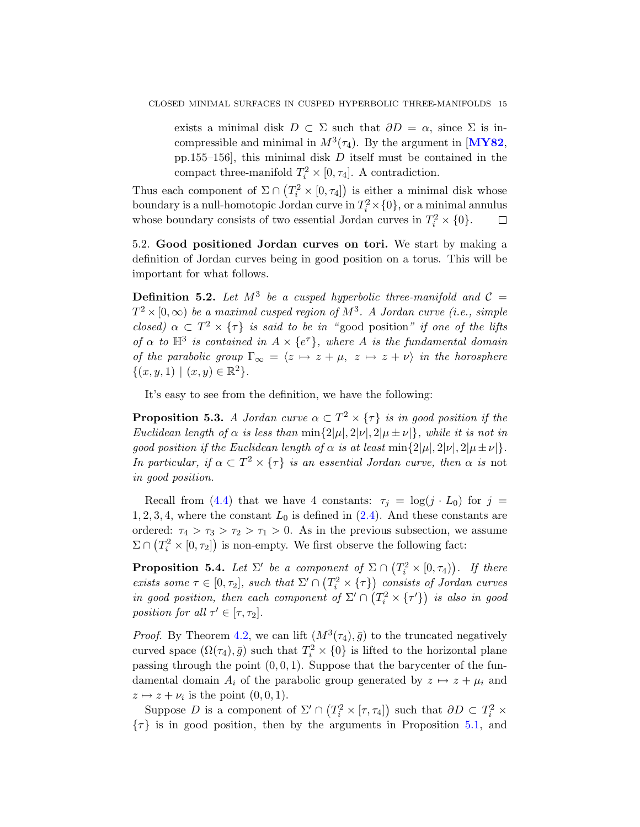exists a minimal disk  $D \subset \Sigma$  such that  $\partial D = \alpha$ , since  $\Sigma$  is incompressible and minimal in  $M^3(\tau_4)$ . By the argument in [[MY82](#page-18-18), pp.155–156], this minimal disk D itself must be contained in the compact three-manifold  $T_i^2 \times [0, \tau_4]$ . A contradiction.

Thus each component of  $\Sigma \cap (T_i^2 \times [0, \tau_4])$  is either a minimal disk whose boundary is a null-homotopic Jordan curve in  $T_i^2\times\{0\}$ , or a minimal annulus whose boundary consists of two essential Jordan curves in  $T_i^2 \times \{0\}$ .  $\Box$ 

5.2. Good positioned Jordan curves on tori. We start by making a definition of Jordan curves being in good position on a torus. This will be important for what follows.

**Definition 5.2.** Let  $M^3$  be a cusped hyperbolic three-manifold and  $C =$  $T^2\times [0,\infty)$  be a maximal cusped region of  $M^3$ . A Jordan curve (i.e., simple closed)  $\alpha \subset T^2 \times {\tau}$  is said to be in "good position" if one of the lifts of  $\alpha$  to  $\mathbb{H}^3$  is contained in  $A \times \{e^{\tau}\}\$ , where A is the fundamental domain of the parabolic group  $\Gamma_{\infty} = \langle z \mapsto z + \mu, z \mapsto z + \nu \rangle$  in the horosphere  $\{(x, y, 1) | (x, y) \in \mathbb{R}^2\}.$ 

It's easy to see from the definition, we have the following:

<span id="page-14-0"></span>**Proposition 5.3.** A Jordan curve  $\alpha \subset T^2 \times {\tau}$  is in good position if the Euclidean length of  $\alpha$  is less than min $\{2|\mu|, 2|\nu|, 2|\mu \pm \nu|\}$ , while it is not in good position if the Euclidean length of  $\alpha$  is at least min $\{2|\mu|, 2|\nu|, 2|\mu \pm \nu|\}.$ In particular, if  $\alpha \subset T^2 \times \{\tau\}$  is an essential Jordan curve, then  $\alpha$  is not in good position.

Recall from [\(4.4\)](#page-10-1) that we have 4 constants:  $\tau_j = \log(j \cdot L_0)$  for  $j =$  $1, 2, 3, 4$ , where the constant  $L_0$  is defined in  $(2.4)$ . And these constants are ordered:  $\tau_4 > \tau_3 > \tau_2 > \tau_1 > 0$ . As in the previous subsection, we assume  $\Sigma \cap (T_i^2 \times [0, \tau_2])$  is non-empty. We first observe the following fact:

<span id="page-14-1"></span>**Proposition 5.4.** Let  $\Sigma'$  be a component of  $\Sigma \cap (T_i^2 \times [0, \tau_4))$ . If there exists some  $\tau \in [0, \tau_2]$ , such that  $\Sigma' \cap (T_i^2 \times {\tau})$  consists of Jordan curves in good position, then each component of  $\Sigma' \cap (T_i^2 \times \{\tau'\})$  is also in good position for all  $\tau' \in [\tau, \tau_2]$ .

*Proof.* By Theorem [4.2,](#page-11-1) we can lift  $(M^3(\tau_4), \bar{g})$  to the truncated negatively curved space  $(\Omega(\tau_4), \bar{g})$  such that  $T_i^2 \times \{0\}$  is lifted to the horizontal plane passing through the point  $(0, 0, 1)$ . Suppose that the barycenter of the fundamental domain  $A_i$  of the parabolic group generated by  $z \mapsto z + \mu_i$  and  $z \mapsto z + \nu_i$  is the point  $(0, 0, 1)$ .

Suppose D is a component of  $\Sigma' \cap (T_i^2 \times [\tau, \tau_4])$  such that  $\partial D \subset T_i^2 \times$  $\{\tau\}$  is in good position, then by the arguments in Proposition [5.1,](#page-13-0) and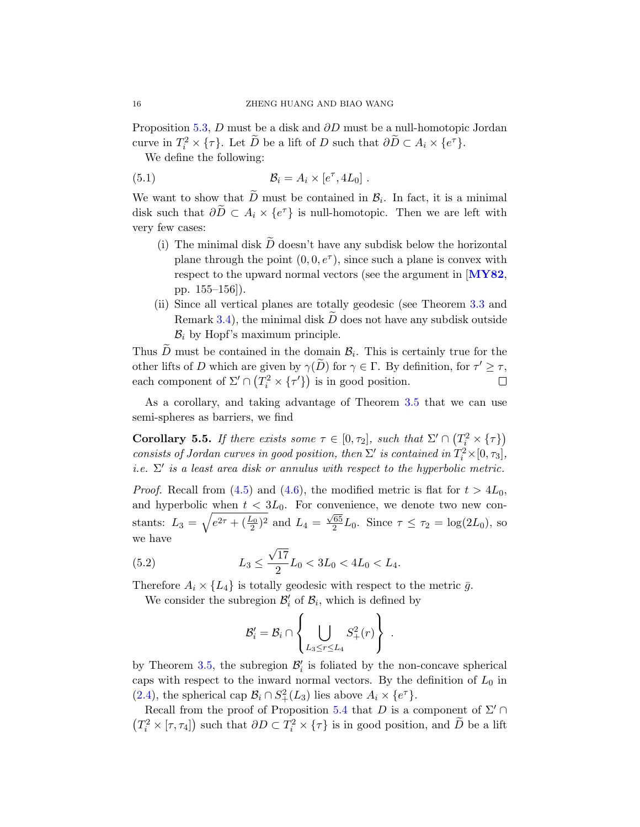Proposition [5.3,](#page-14-0) D must be a disk and ∂D must be a null-homotopic Jordan curve in  $T_i^2 \times \{\tau\}$ . Let  $\widetilde{D}$  be a lift of D such that  $\partial \widetilde{D} \subset A_i \times \{e^{\tau}\}$ .

We define the following:

(5.1) 
$$
\mathcal{B}_i = A_i \times [e^{\tau}, 4L_0].
$$

We want to show that D must be contained in  $\mathcal{B}_i$ . In fact, it is a minimal disk such that  $\partial \widetilde{D} \subset A_i \times \{e^{\tau}\}\$ is null-homotopic. Then we are left with very few cases:

- (i) The minimal disk  $\tilde{D}$  doesn't have any subdisk below the horizontal plane through the point  $(0, 0, e^{\tau})$ , since such a plane is convex with respect to the upward normal vectors (see the argument in [[MY82](#page-18-18), pp. 155–156]).
- (ii) Since all vertical planes are totally geodesic (see Theorem [3.3](#page-8-2) and Remark [3.4\)](#page-9-0), the minimal disk  $\widetilde{D}$  does not have any subdisk outside  $\mathcal{B}_i$  by Hopf's maximum principle.

Thus D must be contained in the domain  $\mathcal{B}_i$ . This is certainly true for the other lifts of D which are given by  $\gamma(\tilde{D})$  for  $\gamma \in \Gamma$ . By definition, for  $\tau' \geq \tau$ , each component of  $\Sigma' \cap (T_i^2 \times \{\tau'\})$  is in good position.  $\Box$ 

As a corollary, and taking advantage of Theorem [3.5](#page-9-1) that we can use semi-spheres as barriers, we find

<span id="page-15-0"></span>**Corollary 5.5.** If there exists some  $\tau \in [0, \tau_2]$ , such that  $\Sigma' \cap (T_i^2 \times {\tau})$ consists of Jordan curves in good position, then  $\Sigma'$  is contained in  $T_i^2 \times [0, \tau_3]$ , i.e.  $\Sigma'$  is a least area disk or annulus with respect to the hyperbolic metric.

*Proof.* Recall from [\(4.5\)](#page-11-2) and [\(4.6\)](#page-11-3), the modified metric is flat for  $t > 4L_0$ , and hyperbolic when  $t < 3L_0$ . For convenience, we denote two new constants:  $L_3 = \sqrt{e^{2\tau} + (\frac{L_0}{2})^2}$  and  $L_4 = \frac{\sqrt{65}}{2}$  $\frac{65}{2}L_0$ . Since  $\tau \leq \tau_2 = \log(2L_0)$ , so we have √

(5.2) 
$$
L_3 \le \frac{\sqrt{17}}{2} L_0 < 3L_0 < 4L_0 < L_4.
$$

Therefore  $A_i \times \{L_4\}$  is totally geodesic with respect to the metric  $\bar{g}$ .

We consider the subregion  $\mathcal{B}'_i$  of  $\mathcal{B}_i$ , which is defined by

<span id="page-15-1"></span>
$$
\mathcal{B}'_i = \mathcal{B}_i \cap \left\{ \bigcup_{L_3 \leq r \leq L_4} S_+^2(r) \right\} .
$$

by Theorem [3.5,](#page-9-1) the subregion  $\mathcal{B}'_i$  is foliated by the non-concave spherical caps with respect to the inward normal vectors. By the definition of  $L_0$  in [\(2.4\)](#page-5-1), the spherical cap  $\mathcal{B}_i \cap S^2_+(L_3)$  lies above  $A_i \times \{e^{\tau}\}.$ 

Recall from the proof of Proposition [5.4](#page-14-1) that D is a component of  $\Sigma' \cap$  $(T_i^2 \times [\tau, \tau_4])$  such that  $\partial D \subset T_i^2 \times {\tau}$  is in good position, and  $\widetilde{D}$  be a lift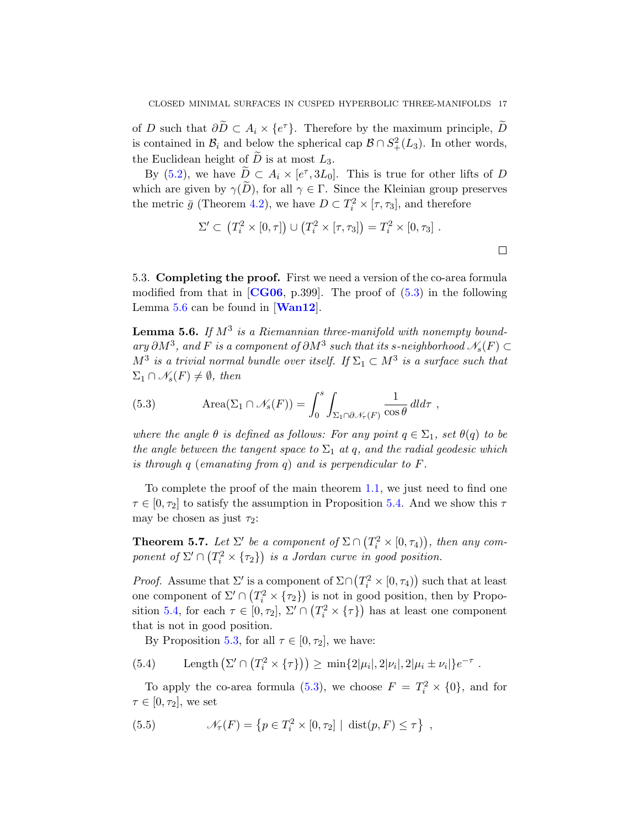of D such that  $\partial \widetilde{D} \subset A_i \times \{e^{\tau}\}\$ . Therefore by the maximum principle,  $\widetilde{D}$ is contained in  $\mathcal{B}_i$  and below the spherical cap  $\mathcal{B} \cap S^2_+(L_3)$ . In other words, the Euclidean height of  $\overline{D}$  is at most  $L_3$ .

By [\(5.2\)](#page-15-1), we have  $\tilde{D} \subset A_i \times [e^{\tau}, 3L_0]$ . This is true for other lifts of D which are given by  $\gamma(D)$ , for all  $\gamma \in \Gamma$ . Since the Kleinian group preserves the metric  $\bar{g}$  (Theorem [4.2\)](#page-11-1), we have  $D \subset T_i^2 \times [\tau, \tau_3]$ , and therefore

$$
\Sigma' \subset (T_i^2 \times [0, \tau]) \cup (T_i^2 \times [\tau, \tau_3]) = T_i^2 \times [0, \tau_3].
$$

5.3. Completing the proof. First we need a version of the co-area formula modified from that in  $[CG06, p.399]$  $[CG06, p.399]$  $[CG06, p.399]$ . The proof of  $(5.3)$  in the following Lemma [5.6](#page-16-0) can be found in [[Wan12](#page-19-7)].

<span id="page-16-0"></span>**Lemma 5.6.** If  $M^3$  is a Riemannian three-manifold with nonempty boundary  $\partial M^3$ , and F is a component of  $\partial M^3$  such that its s-neighborhood  $\mathscr{N}_s(F)$  ⊂  $M^3$  is a trivial normal bundle over itself. If  $\Sigma_1 \subset M^3$  is a surface such that  $\Sigma_1 \cap \mathscr{N}_s(F) \neq \emptyset$ , then

<span id="page-16-1"></span>(5.3) 
$$
\text{Area}(\Sigma_1 \cap \mathcal{N}_s(F)) = \int_0^s \int_{\Sigma_1 \cap \partial \mathcal{N}_\tau(F)} \frac{1}{\cos \theta} \, dl d\tau ,
$$

where the angle  $\theta$  is defined as follows: For any point  $q \in \Sigma_1$ , set  $\theta(q)$  to be the angle between the tangent space to  $\Sigma_1$  at q, and the radial geodesic which is through  $q$  (emanating from  $q$ ) and is perpendicular to  $F$ .

To complete the proof of the main theorem [1.1,](#page-2-0) we just need to find one  $\tau \in [0, \tau_2]$  to satisfy the assumption in Proposition [5.4.](#page-14-1) And we show this  $\tau$ may be chosen as just  $\tau_2$ :

<span id="page-16-2"></span>**Theorem 5.7.** Let  $\Sigma'$  be a component of  $\Sigma \cap (T_i^2 \times [0, \tau_4))$ , then any component of  $\Sigma' \cap (T_i^2 \times {\tau_2})$  is a Jordan curve in good position.

*Proof.* Assume that  $\Sigma'$  is a component of  $\Sigma \cap (T_i^2 \times [0, \tau_4))$  such that at least one component of  $\Sigma' \cap (T_i^2 \times {\{\tau_2\}})$  is not in good position, then by Propo-sition [5.4,](#page-14-1) for each  $\tau \in [0, \tau_2]$ ,  $\Sigma' \cap (T_i^2 \times {\tau})$  has at least one component that is not in good position.

By Proposition [5.3,](#page-14-0) for all  $\tau \in [0, \tau_2]$ , we have:

(5.4) Length 
$$
(\Sigma' \cap (T_i^2 \times \{\tau\})) \ge \min\{2|\mu_i|, 2|\nu_i|, 2|\mu_i \pm \nu_i|\}e^{-\tau}
$$
.

To apply the co-area formula [\(5.3\)](#page-16-1), we choose  $F = T_i^2 \times \{0\}$ , and for  $\tau \in [0, \tau_2]$ , we set

(5.5) 
$$
\mathcal{N}_{\tau}(F) = \left\{ p \in T_i^2 \times [0, \tau_2] \mid \text{dist}(p, F) \leq \tau \right\},
$$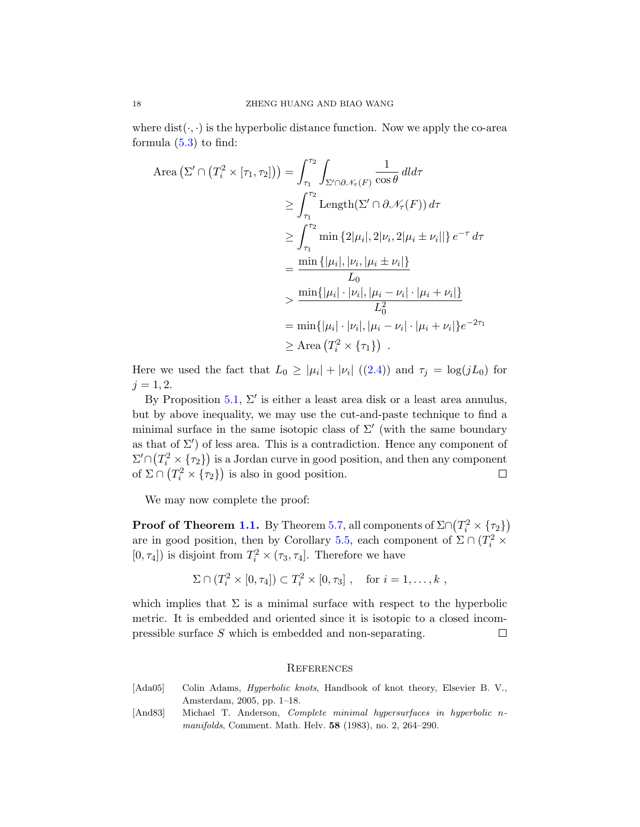where  $dist(\cdot, \cdot)$  is the hyperbolic distance function. Now we apply the co-area formula  $(5.3)$  to find:

Area 
$$
(\Sigma' \cap (T_i^2 \times [\tau_1, \tau_2])) = \int_{\tau_1}^{\tau_2} \int_{\Sigma' \cap \partial \mathcal{N}_{\tau}(F)} \frac{1}{\cos \theta} dld\tau
$$
  
\n $\geq \int_{\tau_1}^{\tau_2} \text{Length}(\Sigma' \cap \partial \mathcal{N}_{\tau}(F)) d\tau$   
\n $\geq \int_{\tau_1}^{\tau_2} \min \{2|\mu_i|, 2|\nu_i, 2|\mu_i \pm \nu_i||\} e^{-\tau} d\tau$   
\n $= \frac{\min \{|\mu_i|, |\nu_i, |\mu_i \pm \nu_i|\}}{L_0}$   
\n $\geq \frac{\min \{|\mu_i| \cdot |\nu_i|, |\mu_i - \nu_i| \cdot |\mu_i + \nu_i|\}}{L_0^2}$   
\n $= \min \{|\mu_i| \cdot |\nu_i|, |\mu_i - \nu_i| \cdot |\mu_i + \nu_i|\} e^{-2\tau_1}$   
\n $\geq \text{Area } (T_i^2 \times \{\tau_1\})$ .

Here we used the fact that  $L_0 \geq |\mu_i| + |\nu_i| \ (2.4)$  $L_0 \geq |\mu_i| + |\nu_i| \ (2.4)$  and  $\tau_j = \log(jL_0)$  for  $j = 1, 2.$ 

By Proposition [5.1,](#page-13-0)  $\Sigma'$  is either a least area disk or a least area annulus, but by above inequality, we may use the cut-and-paste technique to find a minimal surface in the same isotopic class of  $\Sigma'$  (with the same boundary as that of  $\Sigma'$ ) of less area. This is a contradiction. Hence any component of  $\Sigma' \cap (T_i^2 \times {\tau_2})$  is a Jordan curve in good position, and then any component of  $\Sigma \cap (T_i^2 \times {\{\tau_2\}})$  is also in good position.  $\Box$ 

We may now complete the proof:

**Proof of Theorem [1.1.](#page-2-0)** By Theorem [5.7,](#page-16-2) all components of  $\Sigma \cap (T_i^2 \times \{\tau_2\})$ are in good position, then by Corollary [5.5,](#page-15-0) each component of  $\Sigma \cap (T_i^2 \times$  $[0, \tau_4]$ ) is disjoint from  $T_i^2 \times (\tau_3, \tau_4]$ . Therefore we have

$$
\Sigma \cap (T_i^2 \times [0, \tau_4]) \subset T_i^2 \times [0, \tau_3], \text{ for } i = 1, \dots, k ,
$$

which implies that  $\Sigma$  is a minimal surface with respect to the hyperbolic metric. It is embedded and oriented since it is isotopic to a closed incompressible surface S which is embedded and non-separating.  $\Box$ 

#### **REFERENCES**

- <span id="page-17-1"></span>[Ada05] Colin Adams, Hyperbolic knots, Handbook of knot theory, Elsevier B. V., Amsterdam, 2005, pp. 1–18.
- <span id="page-17-0"></span>[And83] Michael T. Anderson, Complete minimal hypersurfaces in hyperbolic nmanifolds, Comment. Math. Helv. 58 (1983), no. 2, 264–290.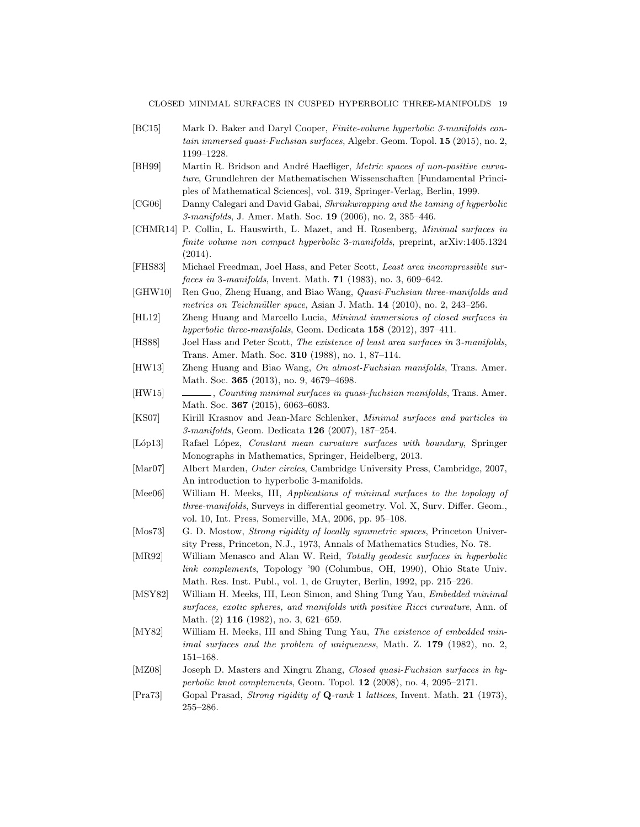#### CLOSED MINIMAL SURFACES IN CUSPED HYPERBOLIC THREE-MANIFOLDS 19

- <span id="page-18-14"></span>[BC15] Mark D. Baker and Daryl Cooper, Finite-volume hyperbolic 3-manifolds contain immersed quasi-Fuchsian surfaces, Algebr. Geom. Topol. 15 (2015), no. 2, 1199–1228.
- <span id="page-18-17"></span>[BH99] Martin R. Bridson and André Haefliger, Metric spaces of non-positive curvature, Grundlehren der Mathematischen Wissenschaften [Fundamental Principles of Mathematical Sciences], vol. 319, Springer-Verlag, Berlin, 1999.
- <span id="page-18-19"></span>[CG06] Danny Calegari and David Gabai, Shrinkwrapping and the taming of hyperbolic 3-manifolds, J. Amer. Math. Soc. 19 (2006), no. 2, 385–446.
- <span id="page-18-0"></span>[CHMR14] P. Collin, L. Hauswirth, L. Mazet, and H. Rosenberg, Minimal surfaces in finite volume non compact hyperbolic 3-manifolds, preprint, arXiv:1405.1324 (2014).
- <span id="page-18-5"></span>[FHS83] Michael Freedman, Joel Hass, and Peter Scott, Least area incompressible sur*faces in 3-manifolds*, Invent. Math. **71** (1983), no. 3, 609–642.
- <span id="page-18-6"></span>[GHW10] Ren Guo, Zheng Huang, and Biao Wang, Quasi-Fuchsian three-manifolds and metrics on Teichmüller space, Asian J. Math. 14 (2010), no. 2, 243–256.
- <span id="page-18-8"></span>[HL12] Zheng Huang and Marcello Lucia, Minimal immersions of closed surfaces in hyperbolic three-manifolds, Geom. Dedicata 158 (2012), 397-411.
- <span id="page-18-4"></span>[HS88] Joel Hass and Peter Scott, The existence of least area surfaces in 3-manifolds, Trans. Amer. Math. Soc. 310 (1988), no. 1, 87–114.
- <span id="page-18-7"></span>[HW13] Zheng Huang and Biao Wang, On almost-Fuchsian manifolds, Trans. Amer. Math. Soc. 365 (2013), no. 9, 4679–4698.
- <span id="page-18-9"></span>[HW15] , Counting minimal surfaces in quasi-fuchsian manifolds, Trans. Amer. Math. Soc. **367** (2015), 6063-6083.
- <span id="page-18-2"></span>[KS07] Kirill Krasnov and Jean-Marc Schlenker, Minimal surfaces and particles in 3-manifolds, Geom. Dedicata 126 (2007), 187–254.
- <span id="page-18-16"></span>[Lóp13] Rafael López, Constant mean curvature surfaces with boundary, Springer Monographs in Mathematics, Springer, Heidelberg, 2013.
- <span id="page-18-15"></span>[Mar07] Albert Marden, Outer circles, Cambridge University Press, Cambridge, 2007, An introduction to hyperbolic 3-manifolds.
- <span id="page-18-1"></span>[Mee06] William H. Meeks, III, Applications of minimal surfaces to the topology of three-manifolds, Surveys in differential geometry. Vol. X, Surv. Differ. Geom., vol. 10, Int. Press, Somerville, MA, 2006, pp. 95–108.
- <span id="page-18-10"></span>[Mos73] G. D. Mostow, *Strong rigidity of locally symmetric spaces*, Princeton University Press, Princeton, N.J., 1973, Annals of Mathematics Studies, No. 78.
- <span id="page-18-12"></span>[MR92] William Menasco and Alan W. Reid, Totally geodesic surfaces in hyperbolic link complements, Topology '90 (Columbus, OH, 1990), Ohio State Univ. Math. Res. Inst. Publ., vol. 1, de Gruyter, Berlin, 1992, pp. 215–226.
- <span id="page-18-3"></span>[MSY82] William H. Meeks, III, Leon Simon, and Shing Tung Yau, Embedded minimal surfaces, exotic spheres, and manifolds with positive Ricci curvature, Ann. of Math. (2) **116** (1982), no. 3, 621-659.
- <span id="page-18-18"></span>[MY82] William H. Meeks, III and Shing Tung Yau, The existence of embedded minimal surfaces and the problem of uniqueness, Math. Z. 179 (1982), no. 2, 151–168.
- <span id="page-18-13"></span>[MZ08] Joseph D. Masters and Xingru Zhang, Closed quasi-Fuchsian surfaces in hyperbolic knot complements, Geom. Topol. 12 (2008), no. 4, 2095–2171.
- <span id="page-18-11"></span>[Pra73] Gopal Prasad, Strong rigidity of Q-rank 1 lattices, Invent. Math. 21 (1973), 255–286.